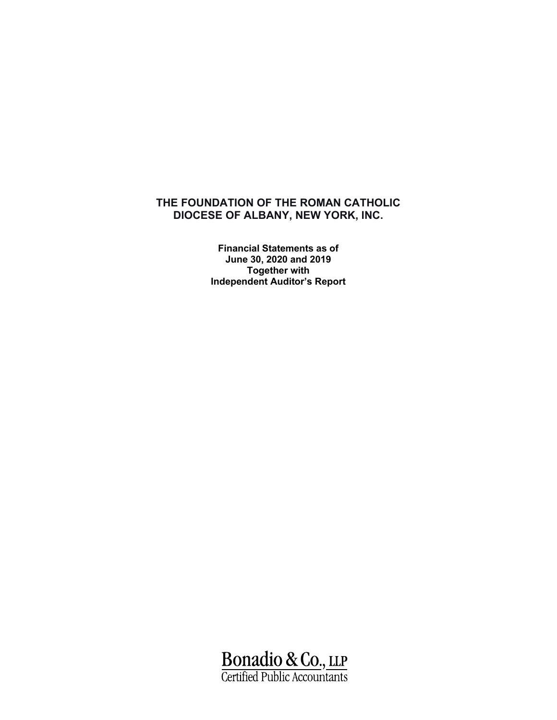**Financial Statements as of June 30, 2020 and 2019 Together with Independent Auditor's Report**

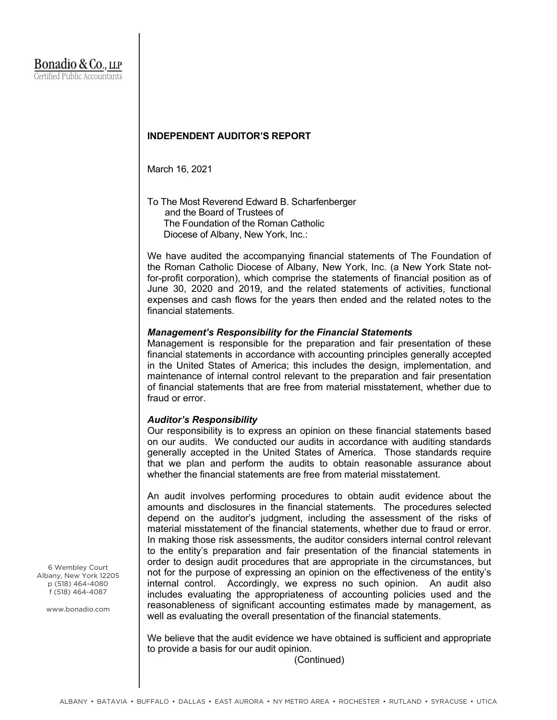# **INDEPENDENT AUDITOR'S REPORT**

March 16, 2021

To The Most Reverend Edward B. Scharfenberger and the Board of Trustees of The Foundation of the Roman Catholic Diocese of Albany, New York, Inc.:

We have audited the accompanying financial statements of The Foundation of the Roman Catholic Diocese of Albany, New York, Inc. (a New York State notfor-profit corporation), which comprise the statements of financial position as of June 30, 2020 and 2019, and the related statements of activities, functional expenses and cash flows for the years then ended and the related notes to the financial statements.

# *Management's Responsibility for the Financial Statements*

Management is responsible for the preparation and fair presentation of these financial statements in accordance with accounting principles generally accepted in the United States of America; this includes the design, implementation, and maintenance of internal control relevant to the preparation and fair presentation of financial statements that are free from material misstatement, whether due to fraud or error.

# *Auditor's Responsibility*

Our responsibility is to express an opinion on these financial statements based on our audits. We conducted our audits in accordance with auditing standards generally accepted in the United States of America. Those standards require that we plan and perform the audits to obtain reasonable assurance about whether the financial statements are free from material misstatement.

An audit involves performing procedures to obtain audit evidence about the amounts and disclosures in the financial statements. The procedures selected depend on the auditor's judgment, including the assessment of the risks of material misstatement of the financial statements, whether due to fraud or error. In making those risk assessments, the auditor considers internal control relevant to the entity's preparation and fair presentation of the financial statements in order to design audit procedures that are appropriate in the circumstances, but not for the purpose of expressing an opinion on the effectiveness of the entity's internal control. Accordingly, we express no such opinion. An audit also includes evaluating the appropriateness of accounting policies used and the reasonableness of significant accounting estimates made by management, as well as evaluating the overall presentation of the financial statements.

We believe that the audit evidence we have obtained is sufficient and appropriate to provide a basis for our audit opinion.

(Continued)

6 Wembley Court Albany, New York 12205 p (518) 464-4080 f (518) 464-4087

www.bonadio.com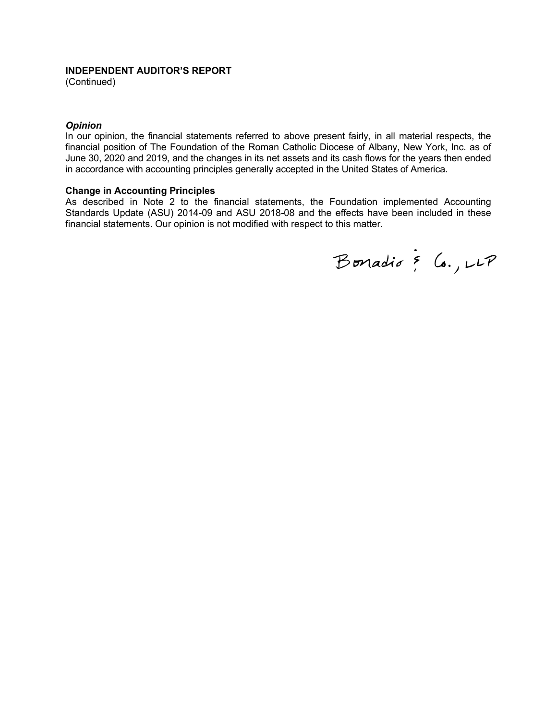## **INDEPENDENT AUDITOR'S REPORT**

(Continued)

### *Opinion*

In our opinion, the financial statements referred to above present fairly, in all material respects, the financial position of The Foundation of the Roman Catholic Diocese of Albany, New York, Inc. as of June 30, 2020 and 2019, and the changes in its net assets and its cash flows for the years then ended in accordance with accounting principles generally accepted in the United States of America.

#### **Change in Accounting Principles**

As described in Note 2 to the financial statements, the Foundation implemented Accounting Standards Update (ASU) 2014-09 and ASU 2018-08 and the effects have been included in these financial statements. Our opinion is not modified with respect to this matter.

Bonadio & Co., LLP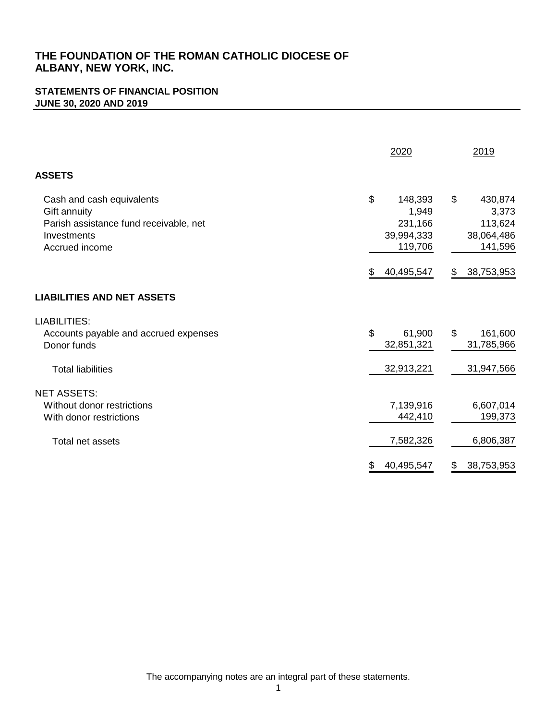# **STATEMENTS OF FINANCIAL POSITION JUNE 30, 2020 AND 2019**

|                                                                                                                      | 2020                                              | 2019                                                                |
|----------------------------------------------------------------------------------------------------------------------|---------------------------------------------------|---------------------------------------------------------------------|
| <b>ASSETS</b>                                                                                                        |                                                   |                                                                     |
| Cash and cash equivalents<br>Gift annuity<br>Parish assistance fund receivable, net<br>Investments<br>Accrued income | \$<br>148,393<br>231,166<br>39,994,333<br>119,706 | \$<br>430,874<br>1,949<br>3,373<br>113,624<br>38,064,486<br>141,596 |
|                                                                                                                      | \$<br>40,495,547                                  | 38,753,953<br>\$                                                    |
| <b>LIABILITIES AND NET ASSETS</b>                                                                                    |                                                   |                                                                     |
| <b>LIABILITIES:</b><br>Accounts payable and accrued expenses<br>Donor funds                                          | \$<br>32,851,321                                  | \$<br>161,600<br>61,900<br>31,785,966                               |
| <b>Total liabilities</b>                                                                                             | 32,913,221                                        | 31,947,566                                                          |
| <b>NET ASSETS:</b><br>Without donor restrictions<br>With donor restrictions<br>Total net assets                      | 7,139,916<br>442,410<br>7,582,326                 | 6,607,014<br>199,373<br>6,806,387                                   |
|                                                                                                                      | \$<br>40,495,547                                  | 38,753,953<br>\$                                                    |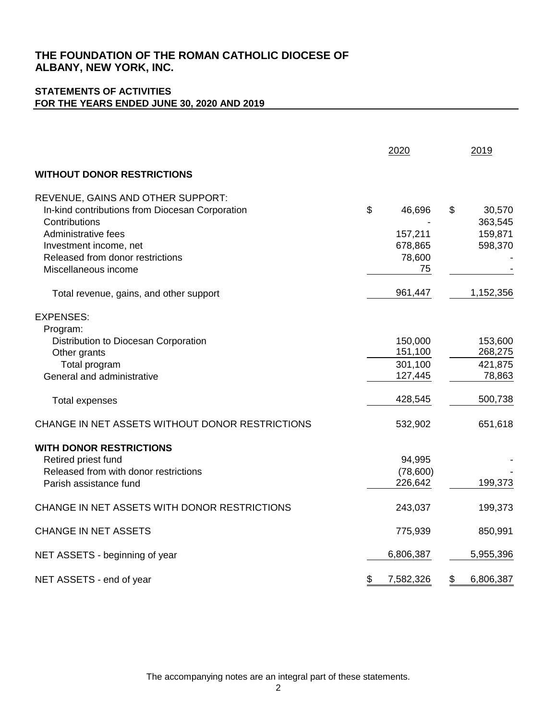# **STATEMENTS OF ACTIVITIES FOR THE YEARS ENDED JUNE 30, 2020 AND 2019**

|                                                                                                                                                                                                                    | 2020                                                | 2019                                               |
|--------------------------------------------------------------------------------------------------------------------------------------------------------------------------------------------------------------------|-----------------------------------------------------|----------------------------------------------------|
| <b>WITHOUT DONOR RESTRICTIONS</b>                                                                                                                                                                                  |                                                     |                                                    |
| REVENUE, GAINS AND OTHER SUPPORT:<br>In-kind contributions from Diocesan Corporation<br>Contributions<br>Administrative fees<br>Investment income, net<br>Released from donor restrictions<br>Miscellaneous income | \$<br>46,696<br>157,211<br>678,865<br>78,600<br>75  | \$<br>30,570<br>363,545<br>159,871<br>598,370      |
| Total revenue, gains, and other support                                                                                                                                                                            | 961,447                                             | 1,152,356                                          |
| <b>EXPENSES:</b><br>Program:<br>Distribution to Diocesan Corporation<br>Other grants<br>Total program<br>General and administrative<br>Total expenses                                                              | 150,000<br>151,100<br>301,100<br>127,445<br>428,545 | 153,600<br>268,275<br>421,875<br>78,863<br>500,738 |
| CHANGE IN NET ASSETS WITHOUT DONOR RESTRICTIONS                                                                                                                                                                    | 532,902                                             | 651,618                                            |
| <b>WITH DONOR RESTRICTIONS</b><br>Retired priest fund<br>Released from with donor restrictions<br>Parish assistance fund                                                                                           | 94,995<br>(78,600)<br>226,642                       | 199,373                                            |
| CHANGE IN NET ASSETS WITH DONOR RESTRICTIONS                                                                                                                                                                       | 243,037                                             | 199,373                                            |
| <b>CHANGE IN NET ASSETS</b>                                                                                                                                                                                        | 775,939                                             | 850,991                                            |
| NET ASSETS - beginning of year                                                                                                                                                                                     | 6,806,387                                           | 5,955,396                                          |
| NET ASSETS - end of year                                                                                                                                                                                           | \$<br>7,582,326                                     | \$<br>6,806,387                                    |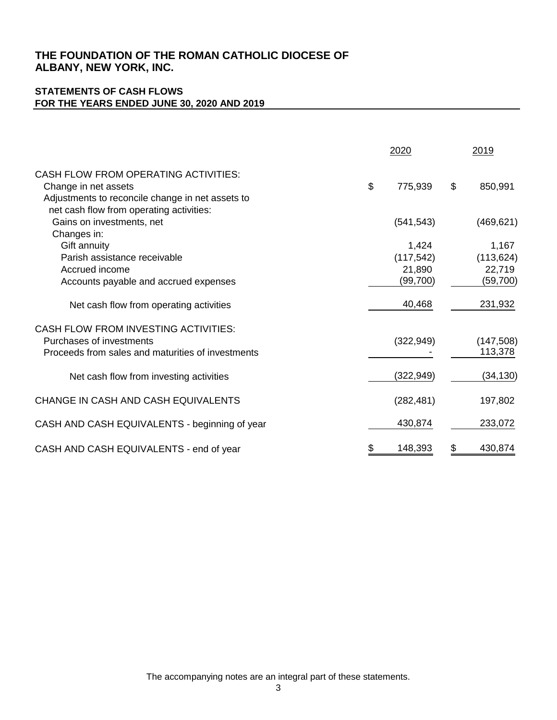# **STATEMENTS OF CASH FLOWS FOR THE YEARS ENDED JUNE 30, 2020 AND 2019**

|                                                                                                                              | 2020          | 2019                  |
|------------------------------------------------------------------------------------------------------------------------------|---------------|-----------------------|
| <b>CASH FLOW FROM OPERATING ACTIVITIES:</b><br>Change in net assets<br>Adjustments to reconcile change in net assets to      | \$<br>775,939 | \$<br>850,991         |
| net cash flow from operating activities:<br>Gains on investments, net<br>Changes in:                                         | (541, 543)    | (469, 621)            |
| Gift annuity                                                                                                                 | 1,424         | 1,167                 |
| Parish assistance receivable                                                                                                 | (117, 542)    | (113, 624)            |
| Accrued income                                                                                                               | 21,890        | 22,719                |
| Accounts payable and accrued expenses                                                                                        | (99,700)      | (59, 700)             |
| Net cash flow from operating activities                                                                                      | 40,468        | 231,932               |
| <b>CASH FLOW FROM INVESTING ACTIVITIES:</b><br>Purchases of investments<br>Proceeds from sales and maturities of investments | (322, 949)    | (147, 508)<br>113,378 |
| Net cash flow from investing activities                                                                                      | (322, 949)    | (34, 130)             |
| CHANGE IN CASH AND CASH EQUIVALENTS                                                                                          | (282, 481)    | 197,802               |
| CASH AND CASH EQUIVALENTS - beginning of year                                                                                | 430,874       | 233,072               |
| CASH AND CASH EQUIVALENTS - end of year                                                                                      | \$<br>148,393 | \$<br>430,874         |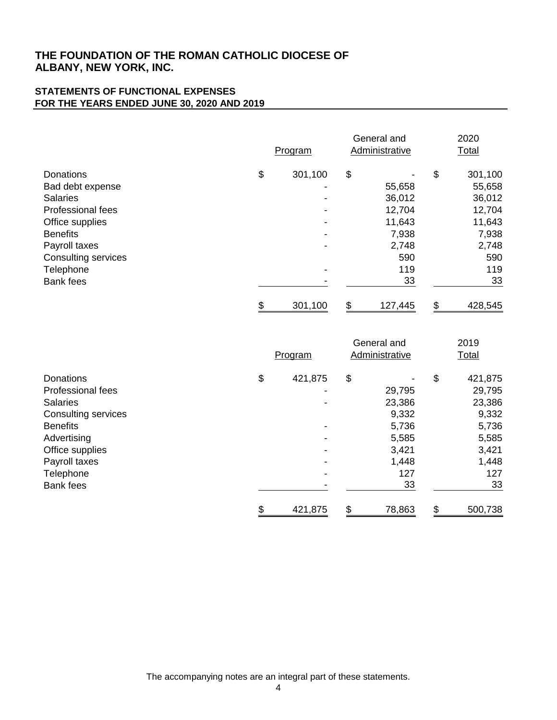# **STATEMENTS OF FUNCTIONAL EXPENSES FOR THE YEARS ENDED JUNE 30, 2020 AND 2019**

|                            |    | Program | General and<br>Administrative |         | 2020<br><b>Total</b> |         |
|----------------------------|----|---------|-------------------------------|---------|----------------------|---------|
| Donations                  | \$ | 301,100 | \$                            |         | \$                   | 301,100 |
| Bad debt expense           |    |         |                               | 55,658  |                      | 55,658  |
| <b>Salaries</b>            |    |         |                               | 36,012  |                      | 36,012  |
| <b>Professional fees</b>   |    |         |                               | 12,704  |                      | 12,704  |
| Office supplies            |    |         |                               | 11,643  |                      | 11,643  |
| <b>Benefits</b>            |    |         |                               | 7,938   |                      | 7,938   |
| Payroll taxes              |    |         |                               | 2,748   |                      | 2,748   |
| <b>Consulting services</b> |    |         |                               | 590     |                      | 590     |
| Telephone                  |    |         |                               | 119     |                      | 119     |
| <b>Bank fees</b>           |    |         |                               | 33      |                      | 33      |
|                            | \$ | 301,100 | \$                            | 127,445 | \$                   | 428,545 |

|                          |    | Program |    | General and<br>Administrative |    | 2019<br>Total |  |
|--------------------------|----|---------|----|-------------------------------|----|---------------|--|
| Donations                | \$ | 421,875 | \$ |                               | \$ | 421,875       |  |
| <b>Professional fees</b> |    |         |    | 29,795                        |    | 29,795        |  |
| <b>Salaries</b>          |    |         |    | 23,386                        |    | 23,386        |  |
| Consulting services      |    |         |    | 9,332                         |    | 9,332         |  |
| <b>Benefits</b>          |    |         |    | 5,736                         |    | 5,736         |  |
| Advertising              |    |         |    | 5,585                         |    | 5,585         |  |
| Office supplies          |    |         |    | 3,421                         |    | 3,421         |  |
| Payroll taxes            |    |         |    | 1,448                         |    | 1,448         |  |
| Telephone                |    |         |    | 127                           |    | 127           |  |
| Bank fees                |    |         |    | 33                            |    | 33            |  |
|                          | \$ | 421,875 | \$ | 78,863                        | \$ | 500,738       |  |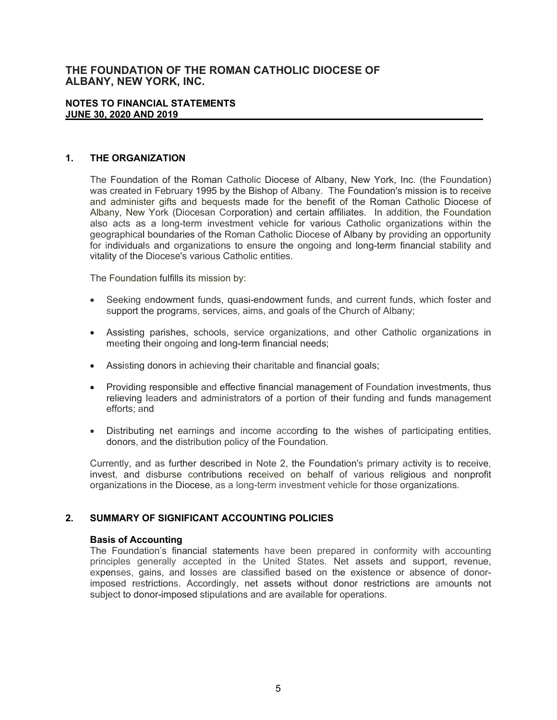### **NOTES TO FINANCIAL STATEMENTS JUNE 30, 2020 AND 2019**

## **1. THE ORGANIZATION**

The Foundation of the Roman Catholic Diocese of Albany, New York, Inc. (the Foundation) was created in February 1995 by the Bishop of Albany. The Foundation's mission is to receive and administer gifts and bequests made for the benefit of the Roman Catholic Diocese of Albany, New York (Diocesan Corporation) and certain affiliates. In addition, the Foundation also acts as a long-term investment vehicle for various Catholic organizations within the geographical boundaries of the Roman Catholic Diocese of Albany by providing an opportunity for individuals and organizations to ensure the ongoing and long-term financial stability and vitality of the Diocese's various Catholic entities.

The Foundation fulfills its mission by:

- Seeking endowment funds, quasi-endowment funds, and current funds, which foster and support the programs, services, aims, and goals of the Church of Albany;
- Assisting parishes, schools, service organizations, and other Catholic organizations in meeting their ongoing and long-term financial needs;
- Assisting donors in achieving their charitable and financial goals;
- Providing responsible and effective financial management of Foundation investments, thus relieving leaders and administrators of a portion of their funding and funds management efforts; and
- Distributing net earnings and income according to the wishes of participating entities, donors, and the distribution policy of the Foundation.

Currently, and as further described in Note 2, the Foundation's primary activity is to receive, invest, and disburse contributions received on behalf of various religious and nonprofit organizations in the Diocese, as a long-term investment vehicle for those organizations.

## **2. SUMMARY OF SIGNIFICANT ACCOUNTING POLICIES**

## **Basis of Accounting**

The Foundation's financial statements have been prepared in conformity with accounting principles generally accepted in the United States. Net assets and support, revenue, expenses, gains, and losses are classified based on the existence or absence of donorimposed restrictions. Accordingly, net assets without donor restrictions are amounts not subject to donor-imposed stipulations and are available for operations.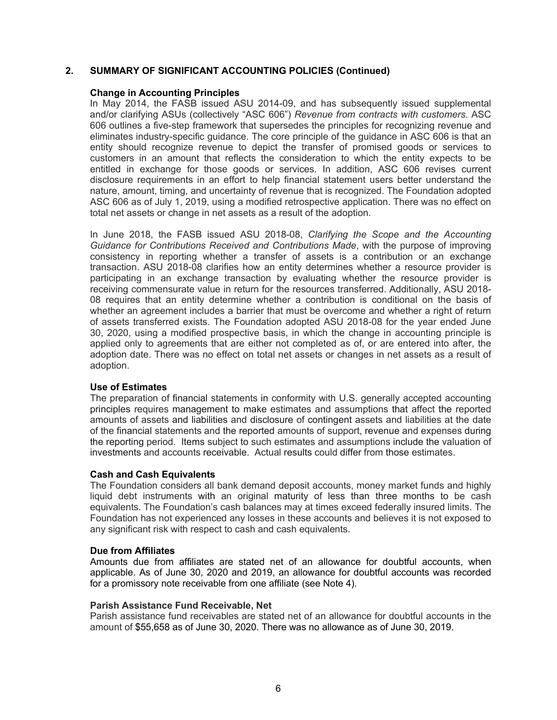### **Change in Accounting Principles**

In May 2014, the FASB issued ASU 2014-09, and has subsequently issued supplemental and/or clarifying ASUs (collectively "ASC 606") *Revenue from contracts with customers*. ASC 606 outlines a five-step framework that supersedes the principles for recognizing revenue and eliminates industry-specific guidance. The core principle of the guidance in ASC 606 is that an entity should recognize revenue to depict the transfer of promised goods or services to customers in an amount that reflects the consideration to which the entity expects to be entitled in exchange for those goods or services. In addition, ASC 606 revises current disclosure requirements in an effort to help financial statement users better understand the nature, amount, timing, and uncertainty of revenue that is recognized. The Foundation adopted ASC 606 as of July 1, 2019, using a modified retrospective application. There was no effect on total net assets or change in net assets as a result of the adoption.

In June 2018, the FASB issued ASU 2018-08, *Clarifying the Scope and the Accounting Guidance for Contributions Received and Contributions Made*, with the purpose of improving consistency in reporting whether a transfer of assets is a contribution or an exchange transaction. ASU 2018-08 clarifies how an entity determines whether a resource provider is participating in an exchange transaction by evaluating whether the resource provider is receiving commensurate value in return for the resources transferred. Additionally, ASU 2018- 08 requires that an entity determine whether a contribution is conditional on the basis of whether an agreement includes a barrier that must be overcome and whether a right of return of assets transferred exists. The Foundation adopted ASU 2018-08 for the year ended June 30, 2020, using a modified prospective basis, in which the change in accounting principle is applied only to agreements that are either not completed as of, or are entered into after, the adoption date. There was no effect on total net assets or changes in net assets as a result of adoption.

#### **Use of Estimates**

The preparation of financial statements in conformity with U.S. generally accepted accounting principles requires management to make estimates and assumptions that affect the reported amounts of assets and liabilities and disclosure of contingent assets and liabilities at the date of the financial statements and the reported amounts of support, revenue and expenses during the reporting period. Items subject to such estimates and assumptions include the valuation of investments and accounts receivable. Actual results could differ from those estimates.

## **Cash and Cash Equivalents**

The Foundation considers all bank demand deposit accounts, money market funds and highly liquid debt instruments with an original maturity of less than three months to be cash equivalents. The Foundation's cash balances may at times exceed federally insured limits. The Foundation has not experienced any losses in these accounts and believes it is not exposed to any significant risk with respect to cash and cash equivalents.

#### **Due from Affiliates**

Amounts due from affiliates are stated net of an allowance for doubtful accounts, when applicable. As of June 30, 2020 and 2019, an allowance for doubtful accounts was recorded for a promissory note receivable from one affiliate (see Note 4).

### **Parish Assistance Fund Receivable, Net**

Parish assistance fund receivables are stated net of an allowance for doubtful accounts in the amount of \$55,658 as of June 30, 2020. There was no allowance as of June 30, 2019.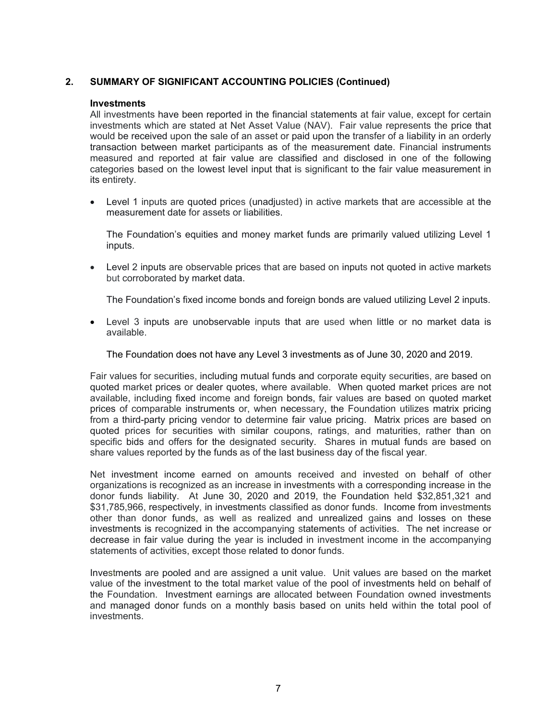### **Investments**

All investments have been reported in the financial statements at fair value, except for certain investments which are stated at Net Asset Value (NAV). Fair value represents the price that would be received upon the sale of an asset or paid upon the transfer of a liability in an orderly transaction between market participants as of the measurement date. Financial instruments measured and reported at fair value are classified and disclosed in one of the following categories based on the lowest level input that is significant to the fair value measurement in its entirety.

• Level 1 inputs are quoted prices (unadjusted) in active markets that are accessible at the measurement date for assets or liabilities.

The Foundation's equities and money market funds are primarily valued utilizing Level 1 inputs.

• Level 2 inputs are observable prices that are based on inputs not quoted in active markets but corroborated by market data.

The Foundation's fixed income bonds and foreign bonds are valued utilizing Level 2 inputs.

• Level 3 inputs are unobservable inputs that are used when little or no market data is available.

The Foundation does not have any Level 3 investments as of June 30, 2020 and 2019.

Fair values for securities, including mutual funds and corporate equity securities, are based on quoted market prices or dealer quotes, where available. When quoted market prices are not available, including fixed income and foreign bonds, fair values are based on quoted market prices of comparable instruments or, when necessary, the Foundation utilizes matrix pricing from a third-party pricing vendor to determine fair value pricing. Matrix prices are based on quoted prices for securities with similar coupons, ratings, and maturities, rather than on specific bids and offers for the designated security. Shares in mutual funds are based on share values reported by the funds as of the last business day of the fiscal year.

Net investment income earned on amounts received and invested on behalf of other organizations is recognized as an increase in investments with a corresponding increase in the donor funds liability. At June 30, 2020 and 2019, the Foundation held \$32,851,321 and \$31,785,966, respectively, in investments classified as donor funds. Income from investments other than donor funds, as well as realized and unrealized gains and losses on these investments is recognized in the accompanying statements of activities. The net increase or decrease in fair value during the year is included in investment income in the accompanying statements of activities, except those related to donor funds.

Investments are pooled and are assigned a unit value. Unit values are based on the market value of the investment to the total market value of the pool of investments held on behalf of the Foundation. Investment earnings are allocated between Foundation owned investments and managed donor funds on a monthly basis based on units held within the total pool of investments.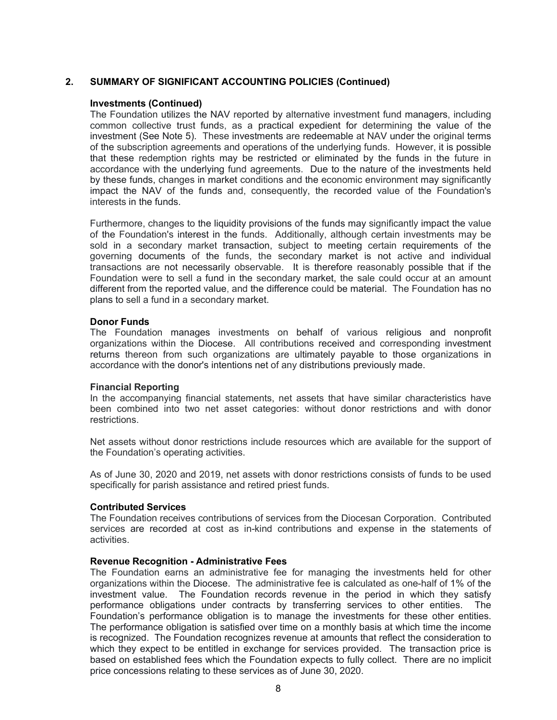### **Investments (Continued)**

The Foundation utilizes the NAV reported by alternative investment fund managers, including common collective trust funds, as a practical expedient for determining the value of the investment (See Note 5). These investments are redeemable at NAV under the original terms of the subscription agreements and operations of the underlying funds. However, it is possible that these redemption rights may be restricted or eliminated by the funds in the future in accordance with the underlying fund agreements. Due to the nature of the investments held by these funds, changes in market conditions and the economic environment may significantly impact the NAV of the funds and, consequently, the recorded value of the Foundation's interests in the funds.

Furthermore, changes to the liquidity provisions of the funds may significantly impact the value of the Foundation's interest in the funds. Additionally, although certain investments may be sold in a secondary market transaction, subject to meeting certain requirements of the governing documents of the funds, the secondary market is not active and individual transactions are not necessarily observable. It is therefore reasonably possible that if the Foundation were to sell a fund in the secondary market, the sale could occur at an amount different from the reported value, and the difference could be material. The Foundation has no plans to sell a fund in a secondary market.

### **Donor Funds**

The Foundation manages investments on behalf of various religious and nonprofit organizations within the Diocese. All contributions received and corresponding investment returns thereon from such organizations are ultimately payable to those organizations in accordance with the donor's intentions net of any distributions previously made.

#### **Financial Reporting**

In the accompanying financial statements, net assets that have similar characteristics have been combined into two net asset categories: without donor restrictions and with donor restrictions.

Net assets without donor restrictions include resources which are available for the support of the Foundation's operating activities.

As of June 30, 2020 and 2019, net assets with donor restrictions consists of funds to be used specifically for parish assistance and retired priest funds.

#### **Contributed Services**

The Foundation receives contributions of services from the Diocesan Corporation. Contributed services are recorded at cost as in-kind contributions and expense in the statements of activities.

#### **Revenue Recognition - Administrative Fees**

The Foundation earns an administrative fee for managing the investments held for other organizations within the Diocese. The administrative fee is calculated as one-half of 1% of the investment value. The Foundation records revenue in the period in which they satisfy performance obligations under contracts by transferring services to other entities. The Foundation's performance obligation is to manage the investments for these other entities. The performance obligation is satisfied over time on a monthly basis at which time the income is recognized. The Foundation recognizes revenue at amounts that reflect the consideration to which they expect to be entitled in exchange for services provided. The transaction price is based on established fees which the Foundation expects to fully collect. There are no implicit price concessions relating to these services as of June 30, 2020.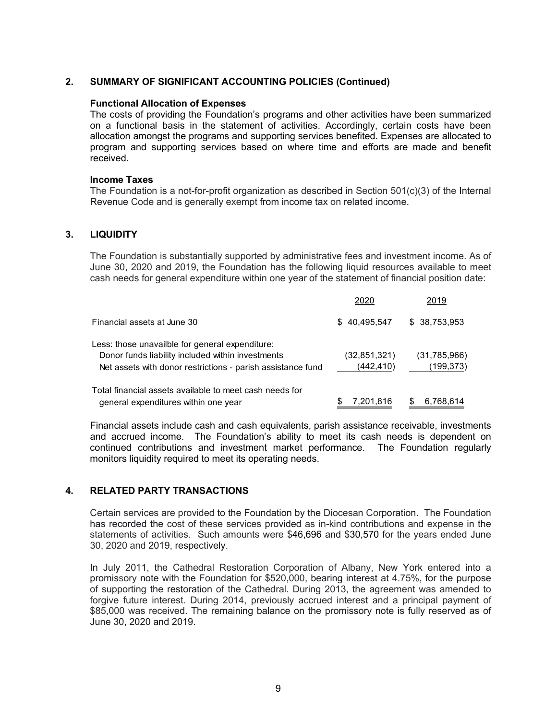### **Functional Allocation of Expenses**

The costs of providing the Foundation's programs and other activities have been summarized on a functional basis in the statement of activities. Accordingly, certain costs have been allocation amongst the programs and supporting services benefited. Expenses are allocated to program and supporting services based on where time and efforts are made and benefit received.

### **Income Taxes**

The Foundation is a not-for-profit organization as described in Section  $501(c)(3)$  of the Internal Revenue Code and is generally exempt from income tax on related income.

## **3. LIQUIDITY**

The Foundation is substantially supported by administrative fees and investment income. As of June 30, 2020 and 2019, the Foundation has the following liquid resources available to meet cash needs for general expenditure within one year of the statement of financial position date:

|                                                                                                                                                                     | 2020                         | 2019                       |
|---------------------------------------------------------------------------------------------------------------------------------------------------------------------|------------------------------|----------------------------|
| Financial assets at June 30                                                                                                                                         | \$40,495,547                 | \$38,753,953               |
| Less: those unavailble for general expenditure:<br>Donor funds liability included within investments<br>Net assets with donor restrictions - parish assistance fund | (32, 851, 321)<br>(442, 410) | (31,785,966)<br>(199, 373) |
| Total financial assets available to meet cash needs for<br>general expenditures within one year                                                                     | 7,201,816                    | 6,768,614                  |

Financial assets include cash and cash equivalents, parish assistance receivable, investments and accrued income. The Foundation's ability to meet its cash needs is dependent on continued contributions and investment market performance. The Foundation regularly monitors liquidity required to meet its operating needs.

## **4. RELATED PARTY TRANSACTIONS**

Certain services are provided to the Foundation by the Diocesan Corporation. The Foundation has recorded the cost of these services provided as in-kind contributions and expense in the statements of activities. Such amounts were \$46,696 and \$30,570 for the years ended June 30, 2020 and 2019, respectively.

In July 2011, the Cathedral Restoration Corporation of Albany, New York entered into a promissory note with the Foundation for \$520,000, bearing interest at 4.75%, for the purpose of supporting the restoration of the Cathedral. During 2013, the agreement was amended to forgive future interest. During 2014, previously accrued interest and a principal payment of \$85,000 was received. The remaining balance on the promissory note is fully reserved as of June 30, 2020 and 2019.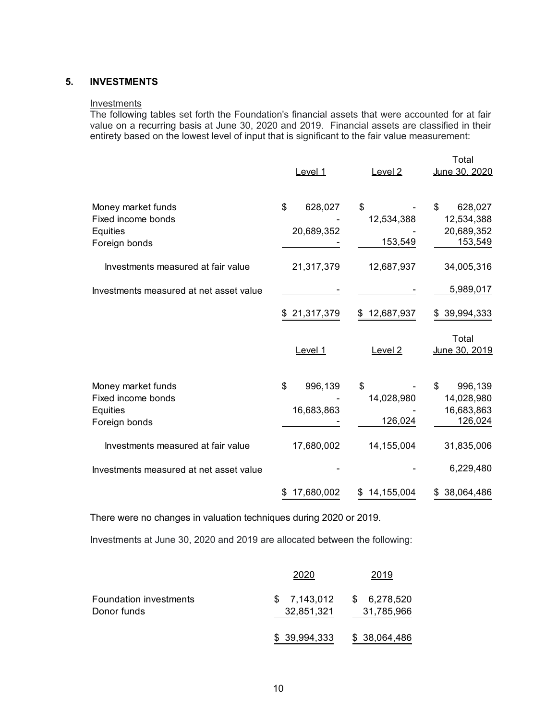## **5. INVESTMENTS**

#### **Investments**

The following tables set forth the Foundation's financial assets that were accounted for at fair value on a recurring basis at June 30, 2020 and 2019. Financial assets are classified in their entirety based on the lowest level of input that is significant to the fair value measurement:

|                                                                       | Level 1                     | Level 2                     | Total<br>June 30, 2020                               |
|-----------------------------------------------------------------------|-----------------------------|-----------------------------|------------------------------------------------------|
| Money market funds<br>Fixed income bonds<br>Equities<br>Foreign bonds | \$<br>628,027<br>20,689,352 | \$<br>12,534,388<br>153,549 | \$<br>628,027<br>12,534,388<br>20,689,352<br>153,549 |
| Investments measured at fair value                                    | 21,317,379                  | 12,687,937                  | 34,005,316                                           |
| Investments measured at net asset value                               |                             |                             | 5,989,017                                            |
|                                                                       | 21,317,379                  | 12,687,937<br>S             | 39,994,333<br>\$                                     |
|                                                                       | Level 1                     | Level <sub>2</sub>          | Total<br>June 30, 2019                               |
| Money market funds<br>Fixed income bonds<br>Equities<br>Foreign bonds | \$<br>996,139<br>16,683,863 | \$<br>14,028,980<br>126,024 | \$<br>996,139<br>14,028,980<br>16,683,863<br>126,024 |
| Investments measured at fair value                                    | 17,680,002                  | 14,155,004                  | 31,835,006                                           |
| Investments measured at net asset value                               |                             |                             | 6,229,480                                            |
|                                                                       | 17,680,002                  | 14,155,004                  | 38,064,486                                           |

There were no changes in valuation techniques during 2020 or 2019.

Investments at June 30, 2020 and 2019 are allocated between the following:

|                                              | 2020                      | 2019                       |
|----------------------------------------------|---------------------------|----------------------------|
| <b>Foundation investments</b><br>Donor funds | \$7,143,012<br>32,851,321 | \$ 6,278,520<br>31,785,966 |
|                                              | \$39,994,333              | \$38,064,486               |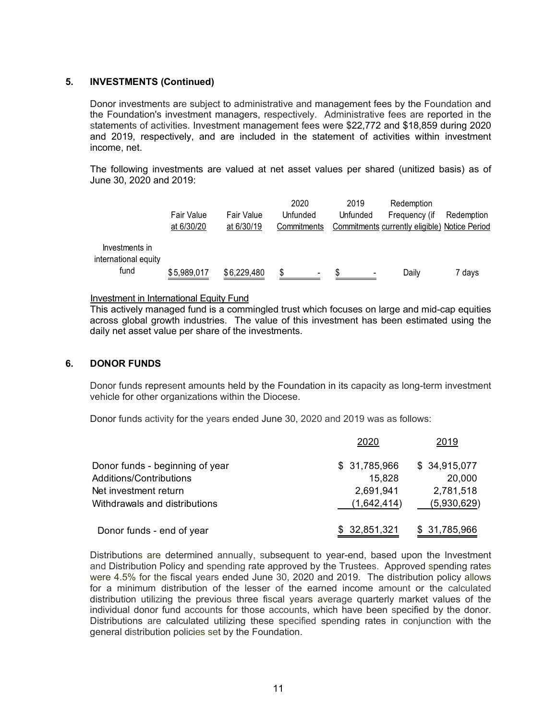## **5. INVESTMENTS (Continued)**

Donor investments are subject to administrative and management fees by the Foundation and the Foundation's investment managers, respectively. Administrative fees are reported in the statements of activities. Investment management fees were \$22,772 and \$18,859 during 2020 and 2019, respectively, and are included in the statement of activities within investment income, net.

The following investments are valued at net asset values per shared (unitized basis) as of June 30, 2020 and 2019:

|                                                | <b>Fair Value</b><br>at 6/30/20 | <b>Fair Value</b><br>at 6/30/19 | 2020<br>Unfunded<br>Commitments | 2019<br>Unfunded | Redemption<br>Frequency (if<br><b>Commitments currently eligible) Notice Period</b> | Redemption |
|------------------------------------------------|---------------------------------|---------------------------------|---------------------------------|------------------|-------------------------------------------------------------------------------------|------------|
| Investments in<br>international equity<br>fund | \$5,989,017                     | \$6,229,480                     | \$<br>۰                         | S.               | Daily                                                                               | 7 days     |

### Investment in International Equity Fund

This actively managed fund is a commingled trust which focuses on large and mid-cap equities across global growth industries. The value of this investment has been estimated using the daily net asset value per share of the investments.

## **6. DONOR FUNDS**

Donor funds represent amounts held by the Foundation in its capacity as long-term investment vehicle for other organizations within the Diocese.

Donor funds activity for the years ended June 30, 2020 and 2019 was as follows:

|                                 | 2020         | 2019         |
|---------------------------------|--------------|--------------|
| Donor funds - beginning of year | \$31,785,966 | \$34,915,077 |
| Additions/Contributions         | 15,828       | 20,000       |
| Net investment return           | 2,691,941    | 2,781,518    |
| Withdrawals and distributions   | (1,642,414)  | (5,930,629)  |
| Donor funds - end of year       | \$32,851,321 | \$31,785,966 |

Distributions are determined annually, subsequent to year-end, based upon the Investment and Distribution Policy and spending rate approved by the Trustees. Approved spending rates were 4.5% for the fiscal years ended June 30, 2020 and 2019. The distribution policy allows for a minimum distribution of the lesser of the earned income amount or the calculated distribution utilizing the previous three fiscal years average quarterly market values of the individual donor fund accounts for those accounts, which have been specified by the donor. Distributions are calculated utilizing these specified spending rates in conjunction with the general distribution policies set by the Foundation.